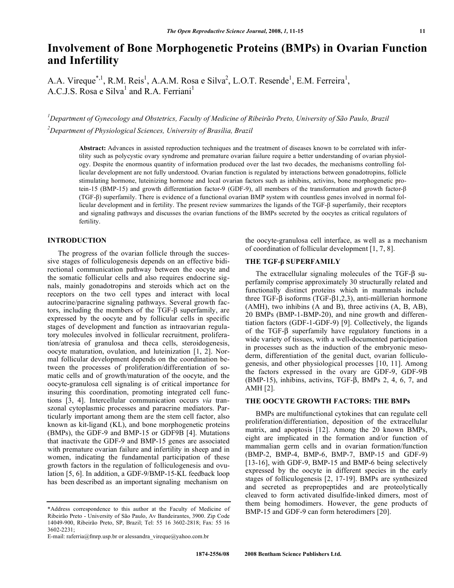# **Involvement of Bone Morphogenetic Proteins (BMPs) in Ovarian Function and Infertility**

A.A. Vireque<sup>\*,1</sup>, R.M. Reis<sup>1</sup>, A.A.M. Rosa e Silva<sup>2</sup>, L.O.T. Resende<sup>1</sup>, E.M. Ferreira<sup>1</sup>, A.C.J.S. Rosa e Silva<sup>1</sup> and R.A. Ferriani<sup>1</sup>

*1 Department of Gynecology and Obstetrics, Faculty of Medicine of Ribeirão Preto, University of São Paulo, Brazil 2 Department of Physiological Sciences, University of Brasília, Brazil* 

**Abstract:** Advances in assisted reproduction techniques and the treatment of diseases known to be correlated with infertility such as polycystic ovary syndrome and premature ovarian failure require a better understanding of ovarian physiology. Despite the enormous quantity of information produced over the last two decades, the mechanisms controlling follicular development are not fully understood. Ovarian function is regulated by interactions between gonadotropins, follicle stimulating hormone, luteinizing hormone and local ovarian factors such as inhibins, activins, bone morphogenetic protein-15 (BMP-15) and growth differentiation factor-9 (GDF-9), all members of the transformation and growth factor- (TGF-) superfamily. There is evidence of a functional ovarian BMP system with countless genes involved in normal follicular development and in fertility. The present review summarizes the ligands of the TGF- $\beta$  superfamily, their receptors and signaling pathways and discusses the ovarian functions of the BMPs secreted by the oocytes as critical regulators of fertility.

## **INTRODUCTION**

 The progress of the ovarian follicle through the successive stages of folliculogenesis depends on an effective bidirectional communication pathway between the oocyte and the somatic follicular cells and also requires endocrine signals, mainly gonadotropins and steroids which act on the receptors on the two cell types and interact with local autocrine/paracrine signaling pathways. Several growth factors, including the members of the TGF- $\beta$  superfamily, are expressed by the oocyte and by follicular cells in specific stages of development and function as intraovarian regulatory molecules involved in follicular recruitment, proliferation/atresia of granulosa and theca cells, steroidogenesis, oocyte maturation, ovulation, and luteinization [1, 2]. Normal follicular development depends on the coordination between the processes of proliferation/differentiation of somatic cells and of growth/maturation of the oocyte, and the oocyte-granulosa cell signaling is of critical importance for insuring this coordination, promoting integrated cell functions [3, 4]. Intercellular communication occurs *via* transzonal cytoplasmic processes and paracrine mediators. Particularly important among them are the stem cell factor, also known as kit-ligand (KL), and bone morphogenetic proteins (BMPs), the GDF-9 and BMP-15 or GDF9B [4]. Mutations that inactivate the GDF-9 and BMP-15 genes are associated with premature ovarian failure and infertility in sheep and in women, indicating the fundamental participation of these growth factors in the regulation of folliculogenesis and ovulation [5, 6]. In addition, a GDF-9/BMP-15-KL feedback loop has been described as an important signaling mechanism on

the oocyte-granulosa cell interface, as well as a mechanism of coordination of follicular development [1, 7, 8].

# **THE TGF- SUPERFAMILY**

The extracellular signaling molecules of the TGF- $\beta$  superfamily comprise approximately 30 structurally related and functionally distinct proteins which in mammals include three TGF- $\beta$  isoforms (TGF- $\beta$ 1,2,3), anti-müllerian hormone (AMH), two inhibins (A and B), three activins (A, B, AB), 20 BMPs (BMP-1-BMP-20), and nine growth and differentiation factors (GDF-1-GDF-9) [9]. Collectively, the ligands of the TGF- $\beta$  superfamily have regulatory functions in a wide variety of tissues, with a well-documented participation in processes such as the induction of the embryonic mesoderm, differentiation of the genital duct, ovarian folliculogenesis, and other physiological processes [10, 11]. Among the factors expressed in the ovary are GDF-9, GDF-9B (BMP-15), inhibins, activins, TGF- $\beta$ , BMPs 2, 4, 6, 7, and AMH [2].

#### **THE OOCYTE GROWTH FACTORS: THE BMPs**

 BMPs are multifunctional cytokines that can regulate cell proliferation/differentiation, deposition of the extracellular matrix, and apoptosis [12]. Among the 20 known BMPs, eight are implicated in the formation and/or function of mammalian germ cells and in ovarian formation/function (BMP-2, BMP-4, BMP-6, BMP-7, BMP-15 and GDF-9) [13-16], with GDF-9, BMP-15 and BMP-6 being selectively expressed by the oocyte in different species in the early stages of folliculogenesis [2, 17-19]. BMPs are synthesized and secreted as prepropeptides and are proteolytically cleaved to form activated disulfide-linked dimers, most of them being homodimers. However, the gene products of BMP-15 and GDF-9 can form heterodimers [20].

<sup>\*</sup>Address correspondence to this author at the Faculty of Medicine of Ribeirão Preto - University of São Paulo, Av Bandeirantes, 3900. Zip Code 14049-900, Ribeirão Preto, SP, Brazil; Tel: 55 16 3602-2818; Fax: 55 16 3602-2231;

E-mail: raferria@fmrp.usp.br or alessandra\_vireque@yahoo.com.br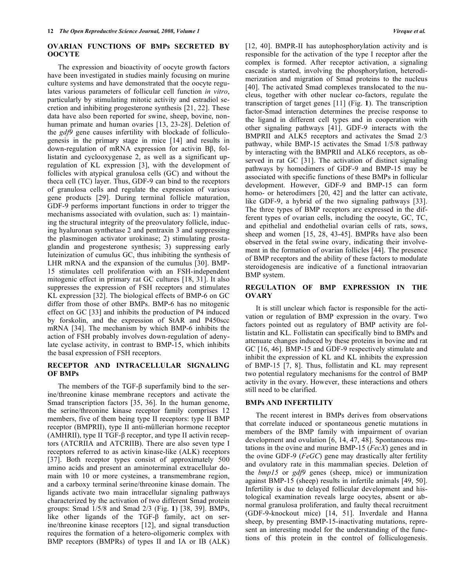## **OVARIAN FUNCTIONS OF BMPs SECRETED BY OOCYTE**

 The expression and bioactivity of oocyte growth factors have been investigated in studies mainly focusing on murine culture systems and have demonstrated that the oocyte regulates various parameters of follicular cell function *in vitro*, particularly by stimulating mitotic activity and estradiol secretion and inhibiting progesterone synthesis [21, 22]. These data have also been reported for swine, sheep, bovine, nonhuman primate and human ovaries [13, 23-28]. Deletion of the *gdf9* gene causes infertility with blockade of folliculogenesis in the primary stage in mice [14] and results in down-regulation of mRNA expression for activin BB, follistatin and cyclooxygenase 2, as well as a significant upregulation of KL expression [3], with the development of follicles with atypical granulosa cells (GC) and without the theca cell (TC) layer. Thus, GDF-9 can bind to the receptors of granulosa cells and regulate the expression of various gene products [29]. During terminal follicle maturation, GDF-9 performs important functions in order to trigger the mechanisms associated with ovulation, such as: 1) maintaining the structural integrity of the preovulatory follicle, inducing hyaluronan synthetase 2 and pentraxin 3 and suppressing the plasminogen activator urokinase; 2) stimulating prostaglandin and progesterone synthesis; 3) suppressing early luteinization of cumulus GC, thus inhibiting the synthesis of LHR mRNA and the expansion of the cumulus [30]. BMP-15 stimulates cell proliferation with an FSH-independent mitogenic effect in primary rat GC cultures [18, 31]. It also suppresses the expression of FSH receptors and stimulates KL expression [32]. The biological effects of BMP-6 on GC differ from those of other BMPs. BMP-6 has no mitogenic effect on GC [33] and inhibits the production of P4 induced by forskolin, and the expression of StAR and P450scc mRNA [34]. The mechanism by which BMP-6 inhibits the action of FSH probably involves down-regulation of adenylate cyclase activity, in contrast to BMP-15, which inhibits the basal expression of FSH receptors.

#### **RECEPTOR AND INTRACELLULAR SIGNALING OF BMPs**

The members of the TGF- $\beta$  superfamily bind to the serine/threonine kinase membrane receptors and activate the Smad transcription factors [35, 36]. In the human genome, the serine/threonine kinase receptor family comprises 12 members, five of them being type II receptors: type II BMP receptor (BMPRII), type II anti-müllerian hormone receptor (AMHRII), type II TGF- $\beta$  receptor, and type II activin receptors (ATCRIIA and ATCRIIB). There are also seven type I receptors referred to as activin kinase-like (ALK) receptors [37]. Both receptor types consist of approximately 500 amino acids and present an aminoterminal extracellular domain with 10 or more cysteines, a transmembrane region, and a carboxy terminal serine/threonine kinase domain. The ligands activate two main intracellular signaling pathways characterized by the activation of two different Smad protein groups: Smad 1/5/8 and Smad 2/3 (Fig. **1**) [38, 39]. BMPs, like other ligands of the TGF- $\beta$  family, act on serine/threonine kinase receptors [12], and signal transduction requires the formation of a hetero-oligomeric complex with BMP receptors (BMPRs) of types II and IA or IB (ALK)

[12, 40]. BMPR-II has autophosphorylation activity and is responsible for the activation of the type I receptor after the complex is formed. After receptor activation, a signaling cascade is started, involving the phosphorylation, heterodimerization and migration of Smad proteins to the nucleus [40]. The activated Smad complexes translocated to the nucleus, together with other nuclear co-factors, regulate the transcription of target genes [11] (Fig. **1**). The transcription factor-Smad interaction determines the precise response to the ligand in different cell types and in cooperation with other signaling pathways [41]. GDF-9 interacts with the BMPRII and ALK5 receptors and activates the Smad 2/3 pathway, while BMP-15 activates the Smad 1/5/8 pathway by interacting with the BMPRII and ALK6 receptors, as observed in rat GC [31]. The activation of distinct signaling pathways by homodimers of GDF-9 and BMP-15 may be associated with specific functions of these BMPs in follicular development. However, GDF-9 and BMP-15 can form homo- or heterodimers [20, 42] and the latter can activate, like GDF-9, a hybrid of the two signaling pathways [33]. The three types of BMP receptors are expressed in the different types of ovarian cells, including the oocyte, GC, TC, and epithelial and endothelial ovarian cells of rats, sows, sheep and women [15, 28, 43-45]. BMPRs have also been observed in the fetal swine ovary, indicating their involvement in the formation of ovarian follicles [44]. The presence of BMP receptors and the ability of these factors to modulate steroidogenesis are indicative of a functional intraovarian BMP system.

#### **REGULATION OF BMP EXPRESSION IN THE OVARY**

 It is still unclear which factor is responsible for the activation or regulation of BMP expression in the ovary. Two factors pointed out as regulatory of BMP activity are follistatin and KL. Follistatin can specifically bind to BMPs and attenuate changes induced by these proteins in bovine and rat GC [16, 46]. BMP-15 and GDF-9 respectively stimulate and inhibit the expression of KL and KL inhibits the expression of BMP-15 [7, 8]. Thus, follistatin and KL may represent two potential regulatory mechanisms for the control of BMP activity in the ovary. However, these interactions and others still need to be clarified.

#### **BMPs AND INFERTILITY**

 The recent interest in BMPs derives from observations that correlate induced or spontaneous genetic mutations in members of the BMP family with impairment of ovarian development and ovulation [6, 14, 47, 48]. Spontaneous mutations in the ovine and murine BMP-15 (*FecX*) genes and in the ovine GDF-9 (*FeGC*) gene may drastically alter fertility and ovulatory rate in this mammalian species. Deletion of the *bmp15* or *gdf9* genes (sheep, mice) or immunization against BMP-15 (sheep) results in infertile animals [49, 50]. Infertility is due to delayed follicular development and histological examination reveals large oocytes, absent or abnormal granulosa proliferation, and faulty thecal recruitment (GDF-9-knockout mice) [14, 51]. Inverdale and Hanna sheep, by presenting BMP-15-inactivating mutations, represent an interesting model for the understanding of the functions of this protein in the control of folliculogenesis.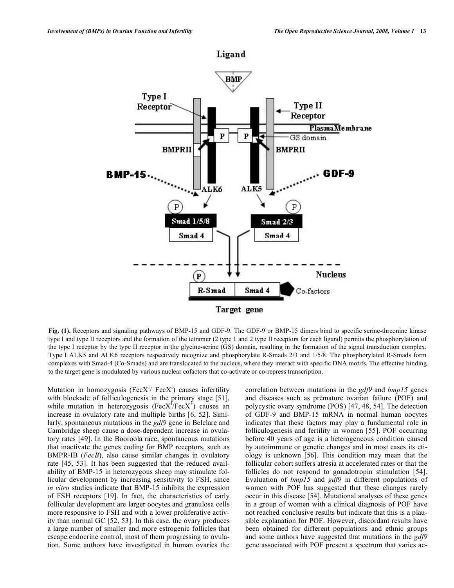

**Fig. (1).** Receptors and signaling pathways of BMP-15 and GDF-9. The GDF-9 or BMP-15 dimers bind to specific serine-threonine kinase type I and type II receptors and the formation of the tetramer (2 type 1 and 2 type II receptors for each ligand) permits the phosphorylation of the type I receptor by the type II receptor in the glycine-serine (GS) domain, resulting in the formation of the signal transduction complex. Type I ALK5 and ALK6 receptors respectively recognize and phosphorylate R-Smads 2/3 and 1/5/8. The phosphorylated R-Smads form complexes with Smad-4 (Co-Smads) and are translocated to the nucleus, where they interact with specific DNA motifs. The effective binding to the target gene is modulated by various nuclear cofactors that co-activate or co-repress transcription.

Mutation in homozygosis (Fec $X^I$ / Fec $X^I$ ) causes infertility with blockade of folliculogenesis in the primary stage [51], while mutation in heterozygosis ( $FecX^f/FecX^f$ ) causes an increase in ovulatory rate and multiple births [6, 52]. Similarly, spontaneous mutations in the *gdf9* gene in Belclare and Cambridge sheep cause a dose-dependent increase in ovulatory rates [49]. In the Booroola race, spontaneous mutations that inactivate the genes coding for BMP receptors, such as BMPR-IB (*FecB*), also cause similar changes in ovulatory rate [45, 53]. It has been suggested that the reduced availability of BMP-15 in heterozygous sheep may stimulate follicular development by increasing sensitivity to FSH, since *in vitro* studies indicate that BMP-15 inhibits the expression of FSH receptors [19]. In fact, the characteristics of early follicular development are larger oocytes and granulosa cells more responsive to FSH and with a lower proliferative activity than normal GC [52, 53]. In this case, the ovary produces a large number of smaller and more estrogenic follicles that escape endocrine control, most of them progressing to ovulation. Some authors have investigated in human ovaries the

correlation between mutations in the *gdf9* and *bmp15* genes and diseases such as premature ovarian failure (POF) and polycystic ovary syndrome (POS) [47, 48, 54]. The detection of GDF-9 and BMP-15 mRNA in normal human oocytes indicates that these factors may play a fundamental role in folliculogenesis and fertility in women [55]. POF occurring before 40 years of age is a heterogeneous condition caused by autoimmune or genetic changes and in most cases its etiology is unknown [56]. This condition may mean that the follicular cohort suffers atresia at accelerated rates or that the follicles do not respond to gonadotropin stimulation [54]. Evaluation of *bmp15* and *gdf9* in different populations of women with POF has suggested that these changes rarely occur in this disease [54]. Mutational analyses of these genes in a group of women with a clinical diagnosis of POF have not reached conclusive results but indicate that this is a plausible explanation for POF. However, discordant results have been obtained for different populations and ethnic groups and some authors have suggested that mutations in the *gdf9* gene associated with POF present a spectrum that varies ac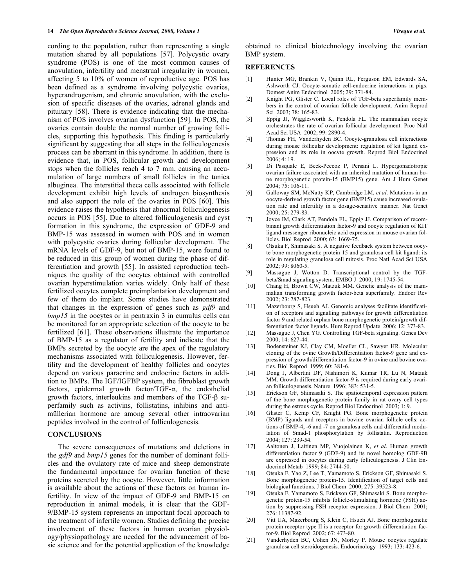cording to the population, rather than representing a single mutation shared by all populations [57]. Polycystic ovary syndrome (POS) is one of the most common causes of anovulation, infertility and menstrual irregularity in women, affecting 5 to 10% of women of reproductive age. POS has been defined as a syndrome involving polycystic ovaries, hyperandrogenism, and chronic anovulation, with the exclusion of specific diseases of the ovaries, adrenal glands and pituitary [58]. There is evidence indicating that the mechanism of POS involves ovarian dysfunction [59]. In POS, the ovaries contain double the normal number of growing follicles, supporting this hypothesis. This finding is particularly significant by suggesting that all steps in the folliculogenesis process can be aberrant in this syndrome. In addition, there is evidence that, in POS, follicular growth and development stops when the follicles reach 4 to 7 mm, causing an accumulation of large numbers of small follicles in the tunica albuginea. The interstitial theca cells associated with follicle development exhibit high levels of androgen biosynthesis and also support the role of the ovaries in POS [60]. This evidence raises the hypothesis that abnormal folliculogenesis occurs in POS [55]. Due to altered folliculogenesis and cyst formation in this syndrome, the expression of GDF-9 and BMP-15 was assessed in women with POS and in women with polycystic ovaries during follicular development. The mRNA levels of GDF-9, but not of BMP-15, were found to be reduced in this group of women during the phase of differentiation and growth [55]. In assisted reproduction techniques the quality of the oocytes obtained with controlled ovarian hyperstimulation varies widely. Only half of these fertilized oocytes complete preimplantation development and few of them do implant. Some studies have demonstrated that changes in the expression of genes such as *gdf9* and *bmp15* in the oocytes or in pentraxin 3 in cumulus cells can be monitored for an appropriate selection of the oocyte to be fertilized [61]. These observations illustrate the importance of BMP-15 as a regulator of fertility and indicate that the BMPs secreted by the oocyte are the apex of the regulatory mechanisms associated with folliculogenesis. However, fertility and the development of healthy follicles and oocytes depend on various paracrine and endocrine factors in addition to BMPs. The IGF/IGFBP system, the fibroblast growth factors, epidermal growth factor/ $TGF-\alpha$ , the endothelial growth factors, interleukins and members of the TGF- $\beta$  superfamily such as activins, follistatins, inhibins and antimüllerian hormone are among several other intraovarian peptides involved in the control of folliculogenesis.

## **CONCLUSIONS**

 The severe consequences of mutations and deletions in the *gdf9* and *bmp15* genes for the number of dominant follicles and the ovulatory rate of mice and sheep demonstrate the fundamental importance for ovarian function of these proteins secreted by the oocyte. However, little information is available about the actions of these factors on human infertility. In view of the impact of GDF-9 and BMP-15 on reproduction in animal models, it is clear that the GDF-9/BMP-15 system represents an important focal approach to the treatment of infertile women. Studies defining the precise involvement of these factors in human ovarian physiology/physiopathology are needed for the advancement of basic science and for the potential application of the knowledge obtained to clinical biotechnology involving the ovarian BMP system.

#### **REFERENCES**

- [1] Hunter MG, Brankin V, Quinn RL, Ferguson EM, Edwards SA, Ashworth CJ. Oocyte-somatic cell-endocrine interactions in pigs. Domest Anim Endocrinol 2005; 29: 371-84.
- [2] Knight PG, Glister C. Local roles of TGF-beta superfamily members in the control of ovarian follicle development. Anim Reprod Sci 2003; 78: 165-83.
- [3] Eppig JJ, Wigglesworth K, Pendola FL. The mammalian oocyte orchestrates the rate of ovarian follicular development. Proc Natl Acad Sci USA 2002; 99: 2890-4.
- [4] Thomas FH, Vanderhyden BC. Oocyte-granulosa cell interactions during mouse follicular development: regulation of kit ligand expression and its role in oocyte growth. Reprod Biol Endocrinol 2006; 4: 19.
- [5] Di Pasquale E, Beck-Peccoz P, Persani L. Hypergonadotropic ovarian failure associated with an inherited mutation of human bone morphogenetic protein-15 (BMP15) gene. Am J Hum Genet 2004; 75: 106-11.
- [6] Galloway SM, McNatty KP, Cambridge LM, *et al*. Mutations in an oocyte-derived growth factor gene (BMP15) cause increased ovulation rate and infertility in a dosage-sensitive manner. Nat Genet 2000; 25: 279-83.
- [7] Joyce IM, Clark AT, Pendola FL, Eppig JJ. Comparison of recombinant growth differentiation factor-9 and oocyte regulation of KIT ligand messenger ribonucleic acid expression in mouse ovarian follicles. Biol Reprod 2000; 63: 1669-75.
- [8] Otsuka F, Shimasaki S. A negative feedback system between oocyte bone morphogenetic protein 15 and granulosa cell kit ligand: its role in regulating granulosa cell mitosis. Proc Natl Acad Sci USA 2002; 99: 8060-5.
- [9] Massague J, Wotton D. Transcriptional control by the TGFbeta/Smad signaling system. EMBO J 2000; 19: 1745-54.
- [10] Chang H, Brown CW, Matzuk MM. Genetic analysis of the mammalian transforming growth factor-beta superfamily. Endocr Rev 2002; 23: 787-823.
- [11] Mazerbourg S, Hsueh AJ. Genomic analyses facilitate identification of receptors and signalling pathways for growth differentiation factor 9 and related orphan bone morphogenetic protein/growth differentiation factor ligands. Hum Reprod Update 2006; 12: 373-83.
- [12] Massague J, Chen YG. Controlling TGF-beta signaling. Genes Dev 2000; 14: 627-44.
- [13] Bodensteiner KJ, Clay CM, Moeller CL, Sawyer HR. Molecular cloning of the ovine Growth/Differentiation factor-9 gene and expression of growth/differentiation factor-9 in ovine and bovine ovaries. Biol Reprod 1999; 60: 381-6.
- [14] Dong J, Albertini DF, Nishimori K, Kumar TR, Lu N, Matzuk MM. Growth differentiation factor-9 is required during early ovarian folliculogenesis. Nature 1996; 383: 531-5.
- [15] Erickson GF, Shimasaki S. The spatiotemporal expression pattern of the bone morphogenetic protein family in rat ovary cell types during the estrous cycle. Reprod Biol Endocrinol 2003; 1: 9.
- [16] Glister C, Kemp CF, Knight PG. Bone morphogenetic protein (BMP) ligands and receptors in bovine ovarian follicle cells: actions of BMP-4, -6 and -7 on granulosa cells and differential modulation of Smad-1 phosphorylation by follistatin. Reproduction 2004; 127: 239-54.
- [17] Aaltonen J, Laitinen MP, Vuojolainen K, *et al*. Human growth differentiation factor 9 (GDF-9) and its novel homolog GDF-9B are expressed in oocytes during early folliculogenesis. J Clin Endocrinol Metab 1999; 84: 2744-50.
- [18] Otsuka F, Yao Z, Lee T, Yamamoto S, Erickson GF, Shimasaki S. Bone morphogenetic protein-15. Identification of target cells and biological functions. J Biol Chem 2000; 275: 39523-8.
- [19] Otsuka F, Yamamoto S, Erickson GF, Shimasaki S. Bone morphogenetic protein-15 inhibits follicle-stimulating hormone (FSH) action by suppressing FSH receptor expression. J Biol Chem 2001; 276: 11387-92.
- [20] Vitt UA, Mazerbourg S, Klein C, Hsueh AJ. Bone morphogenetic protein receptor type II is a receptor for growth differentiation factor-9. Biol Reprod 2002; 67: 473-80.
- [21] Vanderhyden BC, Cohen JN, Morley P. Mouse oocytes regulate granulosa cell steroidogenesis. Endocrinology 1993; 133: 423-6.